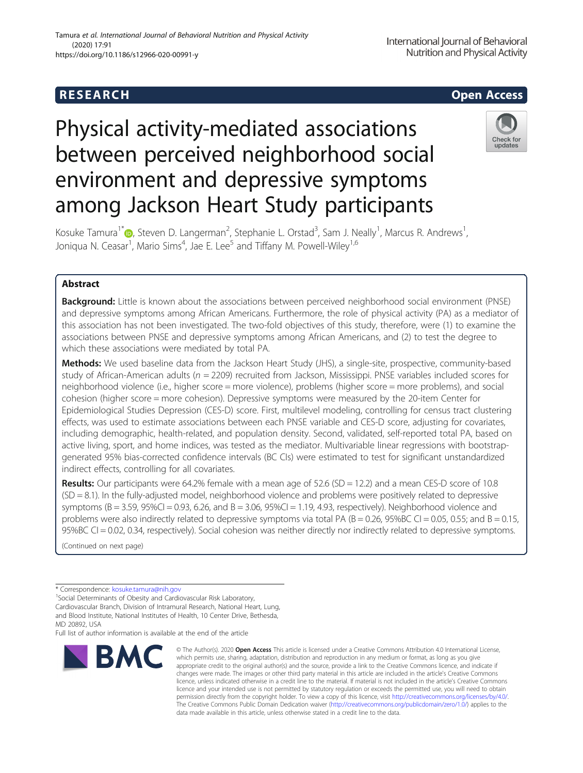## R E S EAR CH Open Access

# Physical activity-mediated associations between perceived neighborhood social environment and depressive symptoms among Jackson Heart Study participants



Kosuke Tamura<sup>1\*</sup> D[,](http://orcid.org/0000-0002-4920-2856) Steven D. Langerman<sup>2</sup>, Stephanie L. Orstad<sup>3</sup>, Sam J. Neally<sup>1</sup>, Marcus R. Andrews<sup>1</sup> , Joniqua N. Ceasar<sup>1</sup>, Mario Sims<sup>4</sup>, Jae E. Lee<sup>5</sup> and Tiffany M. Powell-Wiley<sup>1,6</sup>

### Abstract

**Background:** Little is known about the associations between perceived neighborhood social environment (PNSE) and depressive symptoms among African Americans. Furthermore, the role of physical activity (PA) as a mediator of this association has not been investigated. The two-fold objectives of this study, therefore, were (1) to examine the associations between PNSE and depressive symptoms among African Americans, and (2) to test the degree to which these associations were mediated by total PA.

Methods: We used baseline data from the Jackson Heart Study (JHS), a single-site, prospective, community-based study of African-American adults ( $n = 2209$ ) recruited from Jackson, Mississippi. PNSE variables included scores for neighborhood violence (i.e., higher score = more violence), problems (higher score = more problems), and social cohesion (higher score = more cohesion). Depressive symptoms were measured by the 20-item Center for Epidemiological Studies Depression (CES-D) score. First, multilevel modeling, controlling for census tract clustering effects, was used to estimate associations between each PNSE variable and CES-D score, adjusting for covariates, including demographic, health-related, and population density. Second, validated, self-reported total PA, based on active living, sport, and home indices, was tested as the mediator. Multivariable linear regressions with bootstrapgenerated 95% bias-corrected confidence intervals (BC CIs) were estimated to test for significant unstandardized indirect effects, controlling for all covariates.

**Results:** Our participants were 64.2% female with a mean age of 52.6 (SD = 12.2) and a mean CES-D score of 10.8 (SD = 8.1). In the fully-adjusted model, neighborhood violence and problems were positively related to depressive symptoms (B = 3.59, 95%CI = 0.93, 6.26, and B = 3.06, 95%CI = 1.19, 4.93, respectively). Neighborhood violence and problems were also indirectly related to depressive symptoms via total PA ( $B = 0.26$ , 95%BC CI = 0.05, 0.55; and  $B = 0.15$ , 95%BC CI = 0.02, 0.34, respectively). Social cohesion was neither directly nor indirectly related to depressive symptoms.

(Continued on next page)

\* Correspondence: [kosuke.tamura@nih.gov](mailto:kosuke.tamura@nih.gov) <sup>1</sup>

<sup>1</sup> Social Determinants of Obesity and Cardiovascular Risk Laboratory,

Cardiovascular Branch, Division of Intramural Research, National Heart, Lung, and Blood Institute, National Institutes of Health, 10 Center Drive, Bethesda, MD 20892, USA

Full list of author information is available at the end of the article



© The Author(s), 2020 **Open Access** This article is licensed under a Creative Commons Attribution 4.0 International License, which permits use, sharing, adaptation, distribution and reproduction in any medium or format, as long as you give appropriate credit to the original author(s) and the source, provide a link to the Creative Commons licence, and indicate if changes were made. The images or other third party material in this article are included in the article's Creative Commons licence, unless indicated otherwise in a credit line to the material. If material is not included in the article's Creative Commons licence and your intended use is not permitted by statutory regulation or exceeds the permitted use, you will need to obtain permission directly from the copyright holder. To view a copy of this licence, visit [http://creativecommons.org/licenses/by/4.0/.](http://creativecommons.org/licenses/by/4.0/) The Creative Commons Public Domain Dedication waiver [\(http://creativecommons.org/publicdomain/zero/1.0/](http://creativecommons.org/publicdomain/zero/1.0/)) applies to the data made available in this article, unless otherwise stated in a credit line to the data.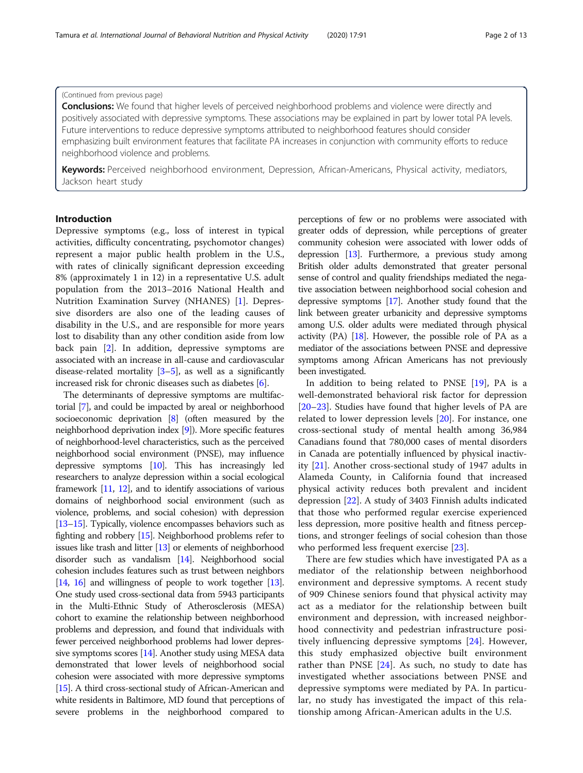#### (Continued from previous page)

**Conclusions:** We found that higher levels of perceived neighborhood problems and violence were directly and positively associated with depressive symptoms. These associations may be explained in part by lower total PA levels. Future interventions to reduce depressive symptoms attributed to neighborhood features should consider emphasizing built environment features that facilitate PA increases in conjunction with community efforts to reduce neighborhood violence and problems.

Keywords: Perceived neighborhood environment, Depression, African-Americans, Physical activity, mediators, Jackson heart study

#### Introduction

Depressive symptoms (e.g., loss of interest in typical activities, difficulty concentrating, psychomotor changes) represent a major public health problem in the U.S., with rates of clinically significant depression exceeding 8% (approximately 1 in 12) in a representative U.S. adult population from the 2013–2016 National Health and Nutrition Examination Survey (NHANES) [\[1](#page-11-0)]. Depressive disorders are also one of the leading causes of disability in the U.S., and are responsible for more years lost to disability than any other condition aside from low back pain [[2\]](#page-11-0). In addition, depressive symptoms are associated with an increase in all-cause and cardiovascular disease-related mortality  $[3-5]$  $[3-5]$  $[3-5]$  $[3-5]$  $[3-5]$ , as well as a significantly increased risk for chronic diseases such as diabetes [\[6\]](#page-11-0).

The determinants of depressive symptoms are multifactorial [\[7\]](#page-11-0), and could be impacted by areal or neighborhood socioeconomic deprivation [[8](#page-11-0)] (often measured by the neighborhood deprivation index [[9](#page-11-0)]). More specific features of neighborhood-level characteristics, such as the perceived neighborhood social environment (PNSE), may influence depressive symptoms [\[10](#page-11-0)]. This has increasingly led researchers to analyze depression within a social ecological framework [[11](#page-11-0), [12](#page-11-0)], and to identify associations of various domains of neighborhood social environment (such as violence, problems, and social cohesion) with depression [[13](#page-11-0)–[15](#page-11-0)]. Typically, violence encompasses behaviors such as fighting and robbery [[15](#page-11-0)]. Neighborhood problems refer to issues like trash and litter [[13\]](#page-11-0) or elements of neighborhood disorder such as vandalism [\[14](#page-11-0)]. Neighborhood social cohesion includes features such as trust between neighbors [[14](#page-11-0), [16\]](#page-11-0) and willingness of people to work together [\[13](#page-11-0)]. One study used cross-sectional data from 5943 participants in the Multi-Ethnic Study of Atherosclerosis (MESA) cohort to examine the relationship between neighborhood problems and depression, and found that individuals with fewer perceived neighborhood problems had lower depressive symptoms scores [\[14\]](#page-11-0). Another study using MESA data demonstrated that lower levels of neighborhood social cohesion were associated with more depressive symptoms [[15](#page-11-0)]. A third cross-sectional study of African-American and white residents in Baltimore, MD found that perceptions of severe problems in the neighborhood compared to

perceptions of few or no problems were associated with greater odds of depression, while perceptions of greater community cohesion were associated with lower odds of depression  $[13]$  $[13]$  $[13]$ . Furthermore, a previous study among British older adults demonstrated that greater personal sense of control and quality friendships mediated the negative association between neighborhood social cohesion and depressive symptoms [\[17\]](#page-11-0). Another study found that the link between greater urbanicity and depressive symptoms among U.S. older adults were mediated through physical activity  $(PA)$  [\[18\]](#page-11-0). However, the possible role of PA as a mediator of the associations between PNSE and depressive symptoms among African Americans has not previously been investigated.

In addition to being related to PNSE  $[19]$  $[19]$  $[19]$ , PA is a well-demonstrated behavioral risk factor for depression [[20](#page-11-0)–[23](#page-11-0)]. Studies have found that higher levels of PA are related to lower depression levels [[20\]](#page-11-0). For instance, one cross-sectional study of mental health among 36,984 Canadians found that 780,000 cases of mental disorders in Canada are potentially influenced by physical inactivity [[21](#page-11-0)]. Another cross-sectional study of 1947 adults in Alameda County, in California found that increased physical activity reduces both prevalent and incident depression [\[22](#page-11-0)]. A study of 3403 Finnish adults indicated that those who performed regular exercise experienced less depression, more positive health and fitness perceptions, and stronger feelings of social cohesion than those who performed less frequent exercise [\[23\]](#page-11-0).

There are few studies which have investigated PA as a mediator of the relationship between neighborhood environment and depressive symptoms. A recent study of 909 Chinese seniors found that physical activity may act as a mediator for the relationship between built environment and depression, with increased neighborhood connectivity and pedestrian infrastructure positively influencing depressive symptoms [\[24](#page-11-0)]. However, this study emphasized objective built environment rather than PNSE  $[24]$  $[24]$ . As such, no study to date has investigated whether associations between PNSE and depressive symptoms were mediated by PA. In particular, no study has investigated the impact of this relationship among African-American adults in the U.S.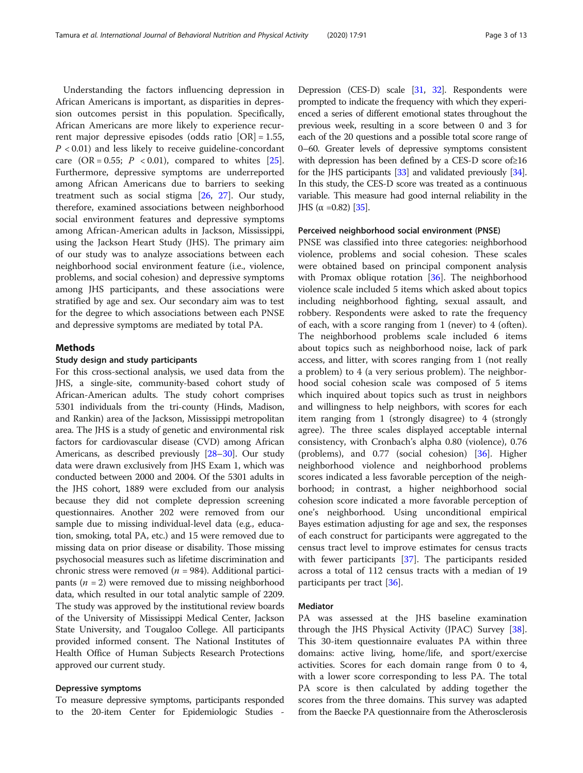Understanding the factors influencing depression in African Americans is important, as disparities in depression outcomes persist in this population. Specifically, African Americans are more likely to experience recurrent major depressive episodes (odds ratio [OR] = 1.55,  $P < 0.01$ ) and less likely to receive guideline-concordant care (OR = 0.55;  $P < 0.01$ ), compared to whites [\[25](#page-11-0)]. Furthermore, depressive symptoms are underreported among African Americans due to barriers to seeking treatment such as social stigma [\[26](#page-11-0), [27\]](#page-11-0). Our study, therefore, examined associations between neighborhood social environment features and depressive symptoms among African-American adults in Jackson, Mississippi, using the Jackson Heart Study (JHS). The primary aim of our study was to analyze associations between each neighborhood social environment feature (i.e., violence, problems, and social cohesion) and depressive symptoms among JHS participants, and these associations were stratified by age and sex. Our secondary aim was to test for the degree to which associations between each PNSE and depressive symptoms are mediated by total PA.

#### Methods

#### Study design and study participants

For this cross-sectional analysis, we used data from the JHS, a single-site, community-based cohort study of African-American adults. The study cohort comprises 5301 individuals from the tri-county (Hinds, Madison, and Rankin) area of the Jackson, Mississippi metropolitan area. The JHS is a study of genetic and environmental risk factors for cardiovascular disease (CVD) among African Americans, as described previously [\[28](#page-11-0)–[30](#page-12-0)]. Our study data were drawn exclusively from JHS Exam 1, which was conducted between 2000 and 2004. Of the 5301 adults in the JHS cohort, 1889 were excluded from our analysis because they did not complete depression screening questionnaires. Another 202 were removed from our sample due to missing individual-level data (e.g., education, smoking, total PA, etc.) and 15 were removed due to missing data on prior disease or disability. Those missing psychosocial measures such as lifetime discrimination and chronic stress were removed ( $n = 984$ ). Additional participants ( $n = 2$ ) were removed due to missing neighborhood data, which resulted in our total analytic sample of 2209. The study was approved by the institutional review boards of the University of Mississippi Medical Center, Jackson State University, and Tougaloo College. All participants provided informed consent. The National Institutes of Health Office of Human Subjects Research Protections approved our current study.

#### Depressive symptoms

To measure depressive symptoms, participants responded to the 20-item Center for Epidemiologic Studies -

Depression (CES-D) scale [\[31,](#page-12-0) [32](#page-12-0)]. Respondents were prompted to indicate the frequency with which they experienced a series of different emotional states throughout the previous week, resulting in a score between 0 and 3 for each of the 20 questions and a possible total score range of 0–60. Greater levels of depressive symptoms consistent with depression has been defined by a CES-D score of≥16 for the JHS participants [[33](#page-12-0)] and validated previously [\[34](#page-12-0)]. In this study, the CES-D score was treated as a continuous variable. This measure had good internal reliability in the JHS ( $\alpha$  =0.82) [[35\]](#page-12-0).

#### Perceived neighborhood social environment (PNSE)

PNSE was classified into three categories: neighborhood violence, problems and social cohesion. These scales were obtained based on principal component analysis with Promax oblique rotation [\[36](#page-12-0)]. The neighborhood violence scale included 5 items which asked about topics including neighborhood fighting, sexual assault, and robbery. Respondents were asked to rate the frequency of each, with a score ranging from 1 (never) to 4 (often). The neighborhood problems scale included 6 items about topics such as neighborhood noise, lack of park access, and litter, with scores ranging from 1 (not really a problem) to 4 (a very serious problem). The neighborhood social cohesion scale was composed of 5 items which inquired about topics such as trust in neighbors and willingness to help neighbors, with scores for each item ranging from 1 (strongly disagree) to 4 (strongly agree). The three scales displayed acceptable internal consistency, with Cronbach's alpha 0.80 (violence), 0.76 (problems), and 0.77 (social cohesion) [[36\]](#page-12-0). Higher neighborhood violence and neighborhood problems scores indicated a less favorable perception of the neighborhood; in contrast, a higher neighborhood social cohesion score indicated a more favorable perception of one's neighborhood. Using unconditional empirical Bayes estimation adjusting for age and sex, the responses of each construct for participants were aggregated to the census tract level to improve estimates for census tracts with fewer participants [[37\]](#page-12-0). The participants resided across a total of 112 census tracts with a median of 19 participants per tract [[36\]](#page-12-0).

#### Mediator

PA was assessed at the JHS baseline examination through the JHS Physical Activity (JPAC) Survey [\[38](#page-12-0)]. This 30-item questionnaire evaluates PA within three domains: active living, home/life, and sport/exercise activities. Scores for each domain range from 0 to 4, with a lower score corresponding to less PA. The total PA score is then calculated by adding together the scores from the three domains. This survey was adapted from the Baecke PA questionnaire from the Atherosclerosis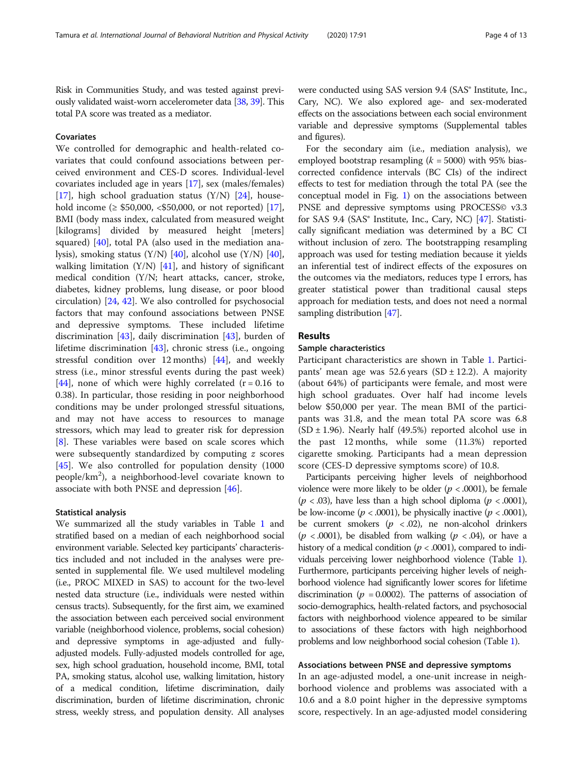Risk in Communities Study, and was tested against previously validated waist-worn accelerometer data [\[38](#page-12-0), [39](#page-12-0)]. This total PA score was treated as a mediator.

#### **Covariates**

We controlled for demographic and health-related covariates that could confound associations between perceived environment and CES-D scores. Individual-level covariates included age in years [[17](#page-11-0)], sex (males/females) [[17\]](#page-11-0), high school graduation status  $(Y/N)$  [[24\]](#page-11-0), household income ( $\ge$  \$50,000, <\$50,000, or not reported) [\[17](#page-11-0)], BMI (body mass index, calculated from measured weight [kilograms] divided by measured height [meters] squared) [[40](#page-12-0)], total PA (also used in the mediation analysis), smoking status (Y/N) [\[40](#page-12-0)], alcohol use (Y/N) [\[40](#page-12-0)], walking limitation  $(Y/N)$  [[41](#page-12-0)], and history of significant medical condition (Y/N; heart attacks, cancer, stroke, diabetes, kidney problems, lung disease, or poor blood circulation) [[24,](#page-11-0) [42\]](#page-12-0). We also controlled for psychosocial factors that may confound associations between PNSE and depressive symptoms. These included lifetime discrimination [[43](#page-12-0)], daily discrimination [[43](#page-12-0)], burden of lifetime discrimination [\[43\]](#page-12-0), chronic stress (i.e., ongoing stressful condition over 12 months)  $[44]$  $[44]$ , and weekly stress (i.e., minor stressful events during the past week) [[44\]](#page-12-0), none of which were highly correlated  $(r = 0.16$  to 0.38). In particular, those residing in poor neighborhood conditions may be under prolonged stressful situations, and may not have access to resources to manage stressors, which may lead to greater risk for depression [[8\]](#page-11-0). These variables were based on scale scores which were subsequently standardized by computing z scores [[45\]](#page-12-0). We also controlled for population density (1000) people/km<sup>2</sup>), a neighborhood-level covariate known to associate with both PNSE and depression [\[46](#page-12-0)].

#### Statistical analysis

We summarized all the study variables in Table [1](#page-4-0) and stratified based on a median of each neighborhood social environment variable. Selected key participants' characteristics included and not included in the analyses were presented in supplemental file. We used multilevel modeling (i.e., PROC MIXED in SAS) to account for the two-level nested data structure (i.e., individuals were nested within census tracts). Subsequently, for the first aim, we examined the association between each perceived social environment variable (neighborhood violence, problems, social cohesion) and depressive symptoms in age-adjusted and fullyadjusted models. Fully-adjusted models controlled for age, sex, high school graduation, household income, BMI, total PA, smoking status, alcohol use, walking limitation, history of a medical condition, lifetime discrimination, daily discrimination, burden of lifetime discrimination, chronic stress, weekly stress, and population density. All analyses were conducted using SAS version 9.4 (SAS® Institute, Inc., Cary, NC). We also explored age- and sex-moderated effects on the associations between each social environment variable and depressive symptoms (Supplemental tables and figures).

For the secondary aim (i.e., mediation analysis), we employed bootstrap resampling  $(k = 5000)$  with 95% biascorrected confidence intervals (BC CIs) of the indirect effects to test for mediation through the total PA (see the conceptual model in Fig. [1\)](#page-6-0) on the associations between PNSE and depressive symptoms using PROCESS© v3.3 for SAS 9.4 (SAS<sup>®</sup> Institute, Inc., Cary, NC) [\[47](#page-12-0)]. Statistically significant mediation was determined by a BC CI without inclusion of zero. The bootstrapping resampling approach was used for testing mediation because it yields an inferential test of indirect effects of the exposures on the outcomes via the mediators, reduces type I errors, has greater statistical power than traditional causal steps approach for mediation tests, and does not need a normal sampling distribution [[47](#page-12-0)].

#### Results

#### Sample characteristics

Participant characteristics are shown in Table [1](#page-4-0). Participants' mean age was 52.6 years (SD  $\pm$  12.2). A majority (about 64%) of participants were female, and most were high school graduates. Over half had income levels below \$50,000 per year. The mean BMI of the participants was 31.8, and the mean total PA score was 6.8  $(SD \pm 1.96)$ . Nearly half (49.5%) reported alcohol use in the past 12 months, while some (11.3%) reported cigarette smoking. Participants had a mean depression score (CES-D depressive symptoms score) of 10.8.

Participants perceiving higher levels of neighborhood violence were more likely to be older ( $p < .0001$ ), be female  $(p < .03)$ , have less than a high school diploma  $(p < .0001)$ , be low-income ( $p < .0001$ ), be physically inactive ( $p < .0001$ ), be current smokers ( $p < .02$ ), ne non-alcohol drinkers  $(p < .0001)$ , be disabled from walking  $(p < .04)$ , or have a history of a medical condition ( $p < .0001$ ), compared to individuals perceiving lower neighborhood violence (Table [1](#page-4-0)). Furthermore, participants perceiving higher levels of neighborhood violence had significantly lower scores for lifetime discrimination ( $p = 0.0002$ ). The patterns of association of socio-demographics, health-related factors, and psychosocial factors with neighborhood violence appeared to be similar to associations of these factors with high neighborhood problems and low neighborhood social cohesion (Table [1](#page-4-0)).

#### Associations between PNSE and depressive symptoms

In an age-adjusted model, a one-unit increase in neighborhood violence and problems was associated with a 10.6 and a 8.0 point higher in the depressive symptoms score, respectively. In an age-adjusted model considering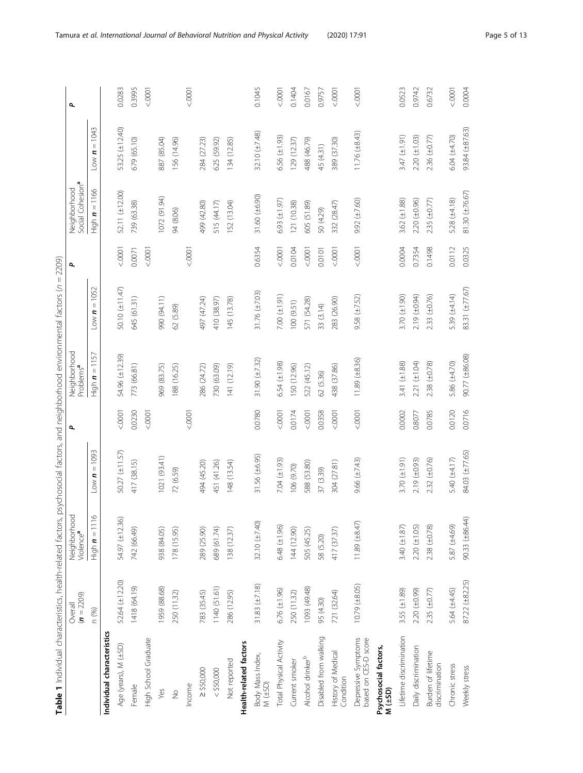<span id="page-4-0"></span>

| Table 1 Individual characteristics, health-related factors, |                         |                                      | psychosocial factors, and neighborhood environmental factors (n = 2209) |                |                                       |                          |                |                                              |                        |                          |
|-------------------------------------------------------------|-------------------------|--------------------------------------|-------------------------------------------------------------------------|----------------|---------------------------------------|--------------------------|----------------|----------------------------------------------|------------------------|--------------------------|
|                                                             | $(n = 2209)$<br>Overall | Neighborhoo<br>Violence <sup>a</sup> |                                                                         | م              | Neighborhood<br>Problems <sup>a</sup> |                          | ٩              | Social Cohesion <sup>a</sup><br>Neighborhood |                        | $\overline{\phantom{a}}$ |
|                                                             | n (%)                   | High $n = 1116$                      | $= 1093$<br>$N \sim$                                                    |                | High $n = 1157$                       | $= 1052$<br><b>U</b> MOT |                | High $n = 1166$                              | $= 1043$<br>$L$ ow $n$ |                          |
| Individual characteristics                                  |                         |                                      |                                                                         |                |                                       |                          |                |                                              |                        |                          |
| Age (years), M (±SD)                                        | 52.64 (±12.20)          | 54.97 (±12.36)                       | 50.27 (±11.57)                                                          | 0000           | 54.96 (±12.39)                        | 50.10 (±11.47)           | < .0001        | 52.11 (±12.00)                               | 53.25 (±12.40)         | 0.0283                   |
| Female                                                      | 1418 (64.19)            | 742 (66.49)                          | 417 (38.15)                                                             | 0.0230         | 773 (66.81)                           | 645 (61.31)              | 0.0071         | 739 (63.38)                                  | 679 (65.10)            | 0.3995                   |
| <b>High School Graduate</b>                                 |                         |                                      |                                                                         | 0001           |                                       |                          | < .0001        |                                              |                        | < .0001                  |
| Yes                                                         | (88.68) 656             | 938 (84.05)                          | 1021 (93.41)                                                            |                | 969 (83.75)                           | 990 (94.11)              |                | (072(91.94)                                  | 887 (85.04)            |                          |
| $\frac{1}{2}$                                               | 250 (11.32)             | 178 (15.95)                          | 72 (6.59)                                                               |                | 188 (16.25)                           | 62 (5.89)                |                | 94 (8.06)                                    | 156 (14.96)            |                          |
| Income                                                      |                         |                                      |                                                                         | $0000 - 20001$ |                                       |                          | < .0001        |                                              |                        | < .0001                  |
| $\geq$ \$50,000                                             | 783 (35.45)             | 289 (25.90)                          | 494 (45.20)                                                             |                | 286 (24.72)                           | 497 (47.24)              |                | 499 (42.80)                                  | 284 (27.23)            |                          |
| < \$50,000                                                  | 1140 (51.61)            | 689 (61.74)                          | 451 (41.26)                                                             |                | 730 (63.09)                           | 410 (38.97)              |                | 515 (44.17)                                  | 625 (59.92)            |                          |
| Not reported                                                | 286 (12.95)             | 138 (12.37)                          | 148 (13.54)                                                             |                | 141 (12.19)                           | 145 (13.78)              |                | 152 (13.04)                                  | 134 (12.85)            |                          |
| Health-related factors                                      |                         |                                      |                                                                         |                |                                       |                          |                |                                              |                        |                          |
| Body Mass Index,<br>M(±SD)                                  | $31.83 (\pm 7.18)$      | 32.10 (±7.40)                        | 31.56 $(\pm 6.95)$                                                      | 0.0780         | 31.90 $(\pm 7.32)$                    | 31.76 $(\pm 7.03)$       | 0.6354         | 31.60 (±6.90)                                | 32.10 $(\pm 7.48)$     | 0.1045                   |
| Total Physical Activity                                     | $6.76 (\pm 1.96)$       | $6.48 (\pm 1.96)$                    | 7.04 ( $\pm$ 1.93)                                                      | 0000           | 6.54 ( $\pm$ 1.98)                    | 7.00 $(\pm 1.91)$        | < .0001        | $5.93 (\pm 1.97)$                            | $5.56 (\pm 1.93)$      | 0001                     |
| Current smoker                                              | 250 (11.32)             | 144 (12.90)                          | 106 (9.70)                                                              | 0.0174         | 150 (12.96)                           | 100 (9.51)               | 0.0104         | 121 (10.38)                                  | 129 (12.37)            | 0.1404                   |
| Alcohol drinker <sup>b</sup>                                | 1093 (49.48)            | 505 (45.25)                          | 588 (53.80)                                                             | 0000           | 522 (45.12)                           | 571 (54.28)              | $0000 - 70001$ | 605 (51.89)                                  | 488 (46.79)            | 0.0167                   |
| Disabled from walking                                       | 95 (4.30)               | 58 (5.20)                            | 37 (3.39)                                                               | 0.0358         | 62 (5.36)                             | 33 (3.14)                | 0.0101         | 50 (4.29)                                    | 45 (4.31)              | 0.9757                   |
| History of Medical<br>Condition                             | 721 (32.64)             | 417 (37.37)                          | 304 (27.81)                                                             | 0000           | 438 (37.86)                           | 283 (26.90)              | $0000 - 70001$ | 332 (28.47)                                  | 389 (37.30)            | $0000 - 70001$           |
| Depressive Symptoms<br>based on CES-D score                 | 10.79 (±8.05)           | $11.89 (\pm 8.47)$                   | $9.66 (\pm 7.43)$                                                       | < 0001         | $11.89 \ (\pm 8.36)$                  | $9.58 (\pm 7.52)$        | < 0001         | $9.92 (\pm 7.60)$                            | $11.76 (\pm 8.43)$     | < .0001                  |
| Psychosocial factors,<br>$M(\pm SD)$                        |                         |                                      |                                                                         |                |                                       |                          |                |                                              |                        |                          |
| Lifetime discrimination                                     | 3.55 $(\pm 1.89)$       | 3.40 $(\pm 1.87)$                    | 3.70 $(\pm 1.91)$                                                       | 0.0002         | 3.41 (±1.88)                          | 3.70 $(\pm 1.90)$        | 0.0004         | $3.62 (\pm 1.88)$                            | 3.47 (±1.91)           | 0.0523                   |
| Daily discrimination                                        | 2.20 (±0.99)            | $2.20 (\pm 1.05)$                    | $2.19(\pm 0.93)$                                                        | 0.8077         | 2.21 (±1.04)                          | 2.19 (±0.94)             | 0.7354         | $2.20 (\pm 0.96)$                            | $2.20 (\pm 1.03)$      | 0.9742                   |
| Burden of lifetime<br>discrimination                        | $2.35 (\pm 0.77)$       | $2.38 (\pm 0.78)$                    | $2.32 (\pm 0.76)$                                                       | 0.0785         | $2.38 (\pm 0.78)$                     | $2.33 (\pm 0.76)$        | 0.1498         | $2.35 (\pm 0.77)$                            | 2.36 (±0.77)           | 0.6732                   |
| Chronic stress                                              | 5.64 (±4.45)            | 5.87 (±4.69)                         | 5.40 (±4.17)                                                            | 0.0120         | 5.86 (±4.70)                          | 5.39 (±4.14)             | 0.0112         | 5.28 $(\pm 4.18)$                            | 6.04 (±4.70)           | < .0001                  |
| Weekly stress                                               | 87.22 (±82.25)          | 90.33 (±86.44)                       | 84.03 (±77.65)                                                          | 0.0716         | 90.77 (±86.08)                        | 83.31 (±77.67)           | 0.0325         | 81.30 (±76.67)                               | 93.84 ( $\pm$ 87.63)   | 0.0004                   |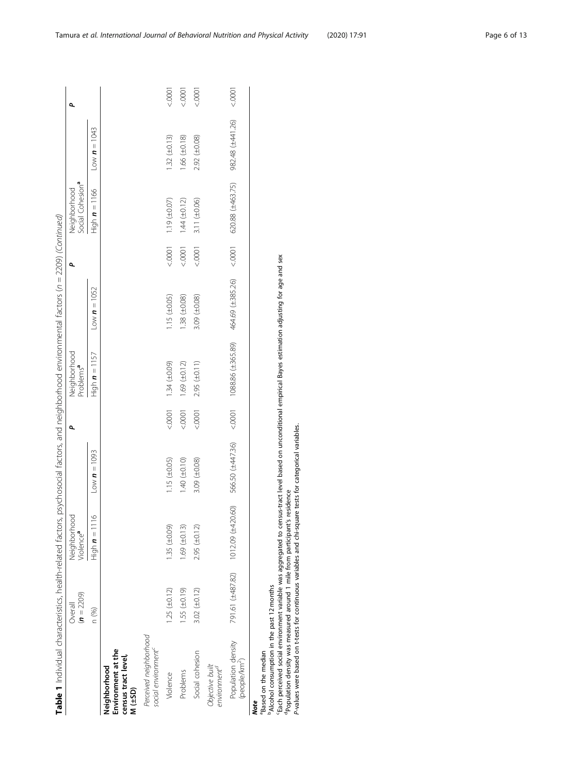|                                                                                                                                                                                                                                                                    | $(n = 2209)$<br>Overall | Neighborhood<br>Violence <sup>a</sup>        |                             | ٩    | Neighborhood<br>Problems <sup>a</sup> |                             | ٩       | Social Cohesion <sup>a</sup><br>Neighborhood |                   | ٩             |
|--------------------------------------------------------------------------------------------------------------------------------------------------------------------------------------------------------------------------------------------------------------------|-------------------------|----------------------------------------------|-----------------------------|------|---------------------------------------|-----------------------------|---------|----------------------------------------------|-------------------|---------------|
|                                                                                                                                                                                                                                                                    | n (%)                   | $\circ$<br>$\text{High} \, \textbf{n} = 111$ | Low $\boldsymbol{n} = 1093$ |      | High $n = 1157$                       | Low $\boldsymbol{n} = 1052$ |         | High $n = 1166$                              | $Low n = 1043$    |               |
| Environment at the<br>census tract level,<br>Neighborhood<br>$M(\pm 5D)$                                                                                                                                                                                           |                         |                                              |                             |      |                                       |                             |         |                                              |                   |               |
| Perceived neighborhood<br>social environment <sup>®</sup>                                                                                                                                                                                                          |                         |                                              |                             |      |                                       |                             |         |                                              |                   |               |
| Violence                                                                                                                                                                                                                                                           | $1.25 (\pm 0.12)$       | $1.35 \ (\pm 0.09)$                          | $1.15 \ (\pm 0.05)$         |      | (60.04)(1.34)(1.00)                   | $1.15 \ (\pm 0.05)$         |         | $(10001$ $(19)(1007)$                        | $1.32 (\pm 0.13)$ | 10001         |
| Problems                                                                                                                                                                                                                                                           | $1.55 (\pm 0.19)$       | $1.69 (\pm 0.13)$                            | 1.40 (10.10)                |      | $(1.04)$ ( $69$ ( $\pm$ 0.12)         | $1.38 (\pm 0.08)$           | < 0001  | $1.44 (\pm 0.12)$                            | $1.66 (\pm 0.18)$ | 10001         |
| Social cohesion                                                                                                                                                                                                                                                    | 3.02 $(\pm 0.12)$       | $2.95 (\pm 0.12)$                            | 3.09 $(\pm 0.08)$           | 0000 | $2.95 \ (\pm 0.11)$                   | 3.09 $(\pm 0.08)$           | < .0001 | $3.11 (\pm 0.06)$                            | 2.92 (±0.08)      | 10001         |
| Objective built<br>environment <sup>a</sup>                                                                                                                                                                                                                        |                         |                                              |                             |      |                                       |                             |         |                                              |                   |               |
| Population density<br>(people/km <sup>2</sup> )                                                                                                                                                                                                                    | 791.61 (±487.82)        | 1012.09 (±420.60)                            | 566.50 (±447.36)            | 0000 | 1088.86 (±365.89)                     | 464.69 (±385.26)            | < 0001  | 620.88 (±463.75)                             | 982.48 (±441.26)  | $5000 - 7000$ |
| 'Each perceived social environment variable was aggregated to census-tract level based on unconditional empirical Baves estimation adjusting for age and sex<br><sup>b</sup> Alcohol consumption in the past 12 months<br><sup>a</sup> Based on the median<br>Note |                         |                                              |                             |      |                                       |                             |         |                                              |                   |               |

cEach perceived social environment variable was aggregated to census-tract level based on unconditional empirical Bayes estimation adjusting for age and sex ₽<br>⊇ .<br>ת ₹ ≿

dPopulation density was measured around 1 mile from participant's residence

P-values were based on t-tests for continuous variables and chi-square tests for categorical variables.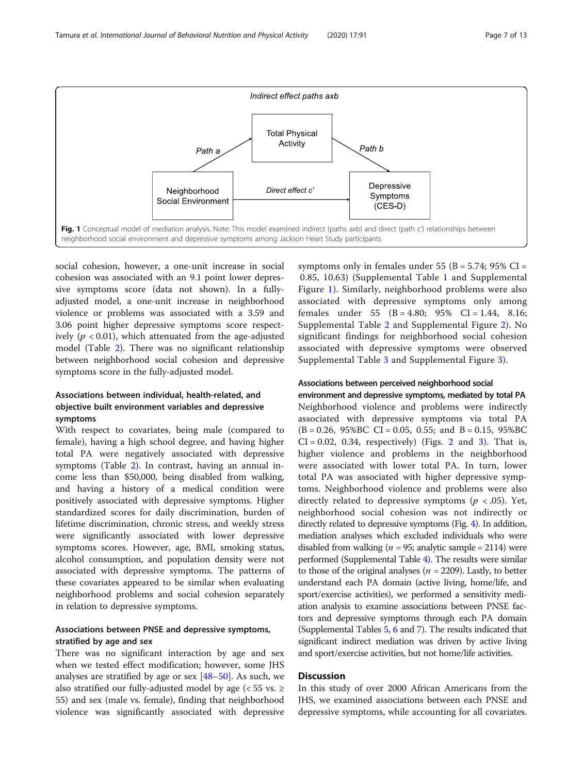

<span id="page-6-0"></span>

social cohesion, however, a one-unit increase in social cohesion was associated with an 9.1 point lower depressive symptoms score (data not shown). In a fullyadjusted model, a one-unit increase in neighborhood violence or problems was associated with a 3.59 and 3.06 point higher depressive symptoms score respectively ( $p < 0.01$ ), which attenuated from the age-adjusted model (Table [2](#page-7-0)). There was no significant relationship between neighborhood social cohesion and depressive symptoms score in the fully-adjusted model.

#### Associations between individual, health-related, and objective built environment variables and depressive symptoms

With respect to covariates, being male (compared to female), having a high school degree, and having higher total PA were negatively associated with depressive symptoms (Table [2\)](#page-7-0). In contrast, having an annual income less than \$50,000, being disabled from walking, and having a history of a medical condition were positively associated with depressive symptoms. Higher standardized scores for daily discrimination, burden of lifetime discrimination, chronic stress, and weekly stress were significantly associated with lower depressive symptoms scores. However, age, BMI, smoking status, alcohol consumption, and population density were not associated with depressive symptoms. The patterns of these covariates appeared to be similar when evaluating neighborhood problems and social cohesion separately in relation to depressive symptoms.

#### Associations between PNSE and depressive symptoms, stratified by age and sex

There was no significant interaction by age and sex when we tested effect modification; however, some JHS analyses are stratified by age or sex [\[48](#page-12-0)–[50](#page-12-0)]. As such, we also stratified our fully-adjusted model by age ( $<$  55 vs.  $\ge$ 55) and sex (male vs. female), finding that neighborhood violence was significantly associated with depressive symptoms only in females under 55 (B =  $5.74$ ; 95% CI = 0.85, 10.63) (Supplemental Table [1](#page-10-0) and Supplemental Figure [1](#page-10-0)). Similarly, neighborhood problems were also associated with depressive symptoms only among females under 55 (B = 4.80; 95% CI = 1.44, 8.16; Supplemental Table [2](#page-10-0) and Supplemental Figure [2\)](#page-10-0). No significant findings for neighborhood social cohesion associated with depressive symptoms were observed Supplemental Table [3](#page-10-0) and Supplemental Figure [3\)](#page-10-0).

#### Associations between perceived neighborhood social

environment and depressive symptoms, mediated by total PA Neighborhood violence and problems were indirectly associated with depressive symptoms via total PA  $(B = 0.26, 95\%BC \ CI = 0.05, 0.55;$  and  $B = 0.15, 95\%BC$  $CI = 0.02$  $CI = 0.02$ , 0.[3](#page-8-0)4, respectively) (Figs. 2 and 3). That is, higher violence and problems in the neighborhood were associated with lower total PA. In turn, lower total PA was associated with higher depressive symptoms. Neighborhood violence and problems were also directly related to depressive symptoms ( $p < .05$ ). Yet, neighborhood social cohesion was not indirectly or directly related to depressive symptoms (Fig. [4\)](#page-9-0). In addition, mediation analyses which excluded individuals who were disabled from walking ( $n = 95$ ; analytic sample = 2114) were performed (Supplemental Table [4\)](#page-10-0). The results were similar to those of the original analyses ( $n = 2209$ ). Lastly, to better understand each PA domain (active living, home/life, and sport/exercise activities), we performed a sensitivity mediation analysis to examine associations between PNSE factors and depressive symptoms through each PA domain (Supplemental Tables [5,](#page-10-0) [6](#page-10-0) and [7\)](#page-10-0). The results indicated that significant indirect mediation was driven by active living and sport/exercise activities, but not home/life activities.

#### Discussion

In this study of over 2000 African Americans from the JHS, we examined associations between each PNSE and depressive symptoms, while accounting for all covariates.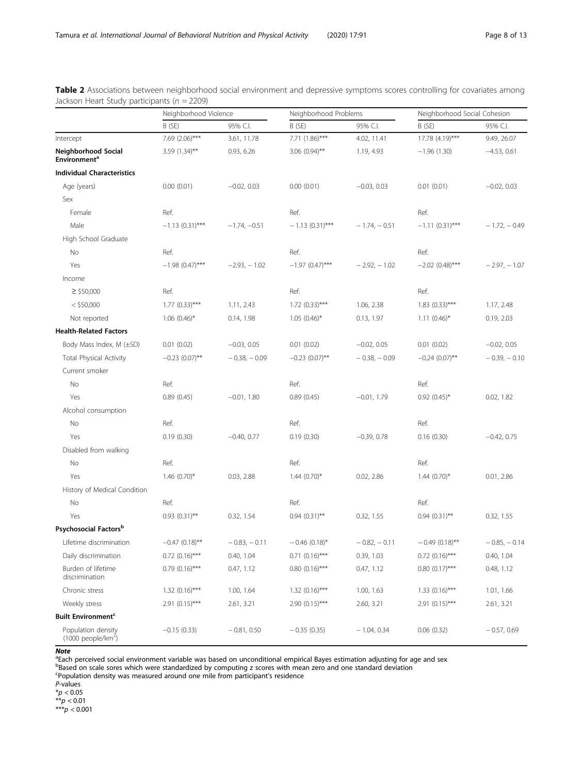|                                                    | Neighborhood Violence        |                | Neighborhood Problems       |                | Neighborhood Social Cohesion |                |
|----------------------------------------------------|------------------------------|----------------|-----------------------------|----------------|------------------------------|----------------|
|                                                    | B (SE)                       | 95% C.I.       | B (SE)                      | 95% C.I.       | B(SE)                        | 95% C.I.       |
| Intercept                                          | 7.69 (2.06)***               | 3.61, 11.78    | 7.71 (1.86)***              | 4.02, 11.41    | 17.78 (4.19)***              | 9.49, 26.07    |
| Neighborhood Social<br>Environment <sup>a</sup>    | $3.59(1.34)$ **              | 0.93, 6.26     | $3.06$ (0.94)**             | 1.19, 4.93     | $-1.96(1.30)$                | $-4.53, 0.61$  |
| <b>Individual Characteristics</b>                  |                              |                |                             |                |                              |                |
| Age (years)                                        | 0.00(0.01)                   | $-0.02, 0.03$  | 0.00(0.01)                  | $-0.03, 0.03$  | 0.01(0.01)                   | $-0.02, 0.03$  |
| Sex                                                |                              |                |                             |                |                              |                |
| Female                                             | Ref.                         |                | Ref.                        |                | Ref.                         |                |
| Male                                               | $-1.13(0.31)$ ***            | $-1.74, -0.51$ | $-1.13(0.31)$ ***           | $-1.74, -0.51$ | $-1.11(0.31)$ ***            | $-1.72, -0.49$ |
| High School Graduate                               |                              |                |                             |                |                              |                |
| No                                                 | Ref.                         |                | Ref.                        |                | Ref.                         |                |
| Yes                                                | $-1.98$ (0.47)***            | $-2.93, -1.02$ | $-1.97$ (0.47)***           | $-2.92, -1.02$ | $-2.02$ (0.48)***            | $-2.97, -1.07$ |
| Income                                             |                              |                |                             |                |                              |                |
| $\geq$ \$50,000                                    | Ref.                         |                | Ref.                        |                | Ref.                         |                |
| $<$ \$50,000                                       | $1.77(0.33)$ ***             | 1.11, 2.43     | $1.72$ (0.33)***            | 1.06, 2.38     | $1.83$ (0.33)***             | 1.17, 2.48     |
| Not reported                                       | $1.06$ $(0.46)$ <sup>*</sup> | 0.14, 1.98     | $1.05(0.46)$ *              | 0.13, 1.97     | $1.11(0.46)$ *               | 0.19, 2.03     |
| <b>Health-Related Factors</b>                      |                              |                |                             |                |                              |                |
| Body Mass Index, M (±SD)                           | 0.01(0.02)                   | $-0.03, 0.05$  | 0.01(0.02)                  | $-0.02, 0.05$  | 0.01(0.02)                   | $-0.02, 0.05$  |
| <b>Total Physical Activity</b>                     | $-0.23(0.07)$ **             | $-0.38, -0.09$ | $-0.23(0.07)$ **            | $-0.38, -0.09$ | $-0.24(0.07)$ **             | $-0.39, -0.10$ |
| Current smoker                                     |                              |                |                             |                |                              |                |
| No                                                 | Ref.                         |                | Ref.                        |                | Ref.                         |                |
| Yes                                                | 0.89(0.45)                   | $-0.01, 1.80$  | 0.89(0.45)                  | $-0.01, 1.79$  | $0.92(0.45)$ *               | 0.02, 1.82     |
| Alcohol consumption                                |                              |                |                             |                |                              |                |
| No                                                 | Ref.                         |                | Ref.                        |                | Ref.                         |                |
| Yes                                                | 0.19(0.30)                   | $-0.40, 0.77$  | 0.19(0.30)                  | $-0.39, 0.78$  | 0.16(0.30)                   | $-0.42, 0.75$  |
| Disabled from walking                              |                              |                |                             |                |                              |                |
| No                                                 | Ref.                         |                | Ref.                        |                | Ref.                         |                |
| Yes                                                | $1.46(0.70)$ *               | 0.03, 2.88     | $1.44(0.70)$ *              | 0.02, 2.86     | $1.44(0.70)$ *               | 0.01, 2.86     |
| History of Medical Condition                       |                              |                |                             |                |                              |                |
| No                                                 | Ref.                         |                | Ref.                        |                | Ref.                         |                |
| Yes                                                | $0.93(0.31)$ **              | 0.32, 1.54     | $0.94(0.31)$ **             | 0.32, 1.55     | $0.94$ $(0.31)$ **           | 0.32, 1.55     |
| Psychosocial Factors <sup>b</sup>                  |                              |                |                             |                |                              |                |
| Lifetime discrimination                            | $-0.47(0.18)$ **             | $-0.83, -0.11$ | $-0.46$ (0.18) <sup>*</sup> | $-0.82, -0.11$ | $-0.49(0.18)$ **             | $-0.85, -0.14$ |
| Daily discrimination                               | $0.72$ $(0.16)$ ***          | 0.40, 1.04     | $0.71$ $(0.16)$ ***         | 0.39, 1.03     | $0.72$ $(0.16)$ ***          | 0.40, 1.04     |
| Burden of lifetime<br>discrimination               | $0.79(0.16)$ ***             | 0.47, 1.12     | $0.80(0.16)$ ***            | 0.47, 1.12     | $0.80(0.17)$ ***             | 0.48, 1.12     |
| Chronic stress                                     | $1.32$ (0.16)***             | 1.00, 1.64     | $1.32(0.16)$ ***            | 1.00, 1.63     | $1.33$ (0.16)***             | 1.01, 1.66     |
| Weekly stress                                      | $2.91(0.15)$ ***             | 2.61, 3.21     | $2.90(0.15)$ ***            | 2.60, 3.21     | $2.91 (0.15)$ ***            | 2.61, 3.21     |
| <b>Built Environment<sup>c</sup></b>               |                              |                |                             |                |                              |                |
| Population density<br>$(1000 \text{ people/km}^2)$ | $-0.15(0.33)$                | $-0.81, 0.50$  | $-0.35(0.35)$               | $-1.04, 0.34$  | 0.06(0.32)                   | $-0.57, 0.69$  |

<span id="page-7-0"></span>Table 2 Associations between neighborhood social environment and depressive symptoms scores controlling for covariates among Jackson Heart Study participants ( $n = 2209$ )

#### **Note**

<sup>a</sup>Each perceived social environment variable was based on unconditional empirical Bayes estimation adjusting for age and sex

b<br>Based on scale sores which were standardized by computing z scores with mean zero and one standard deviation<br><sup>c</sup>Population density was measured around one mile from participant's residence

P-values

 $*$ *p* < 0.05

 $* p < 0.01$ 

 $***p < 0.001$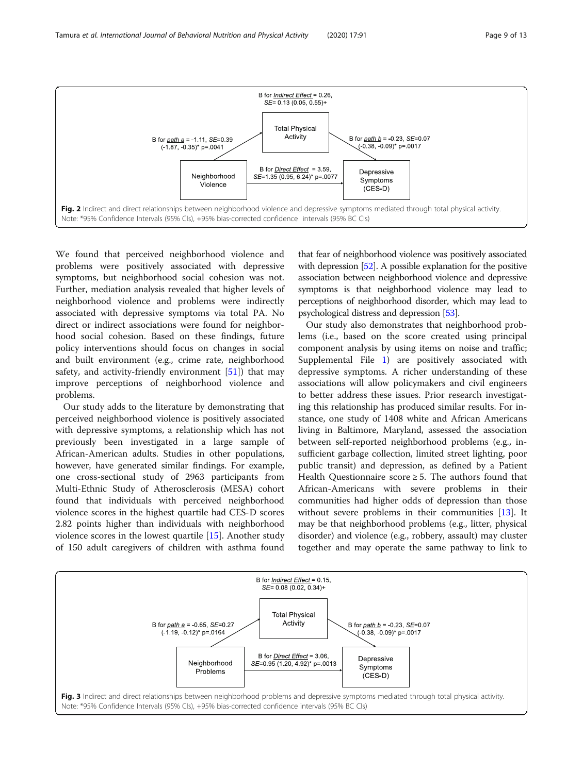<span id="page-8-0"></span>

We found that perceived neighborhood violence and problems were positively associated with depressive symptoms, but neighborhood social cohesion was not. Further, mediation analysis revealed that higher levels of neighborhood violence and problems were indirectly associated with depressive symptoms via total PA. No direct or indirect associations were found for neighborhood social cohesion. Based on these findings, future policy interventions should focus on changes in social and built environment (e.g., crime rate, neighborhood safety, and activity-friendly environment  $[51]$  $[51]$ ) that may improve perceptions of neighborhood violence and problems.

Our study adds to the literature by demonstrating that perceived neighborhood violence is positively associated with depressive symptoms, a relationship which has not previously been investigated in a large sample of African-American adults. Studies in other populations, however, have generated similar findings. For example, one cross-sectional study of 2963 participants from Multi-Ethnic Study of Atherosclerosis (MESA) cohort found that individuals with perceived neighborhood violence scores in the highest quartile had CES-D scores 2.82 points higher than individuals with neighborhood violence scores in the lowest quartile [[15\]](#page-11-0). Another study of 150 adult caregivers of children with asthma found

that fear of neighborhood violence was positively associated with depression [\[52](#page-12-0)]. A possible explanation for the positive association between neighborhood violence and depressive symptoms is that neighborhood violence may lead to perceptions of neighborhood disorder, which may lead to psychological distress and depression [\[53\]](#page-12-0).

Our study also demonstrates that neighborhood problems (i.e., based on the score created using principal component analysis by using items on noise and traffic; Supplemental File [1](#page-10-0)) are positively associated with depressive symptoms. A richer understanding of these associations will allow policymakers and civil engineers to better address these issues. Prior research investigating this relationship has produced similar results. For instance, one study of 1408 white and African Americans living in Baltimore, Maryland, assessed the association between self-reported neighborhood problems (e.g., insufficient garbage collection, limited street lighting, poor public transit) and depression, as defined by a Patient Health Questionnaire score  $\geq$  5. The authors found that African-Americans with severe problems in their communities had higher odds of depression than those without severe problems in their communities [\[13\]](#page-11-0). It may be that neighborhood problems (e.g., litter, physical disorder) and violence (e.g., robbery, assault) may cluster together and may operate the same pathway to link to

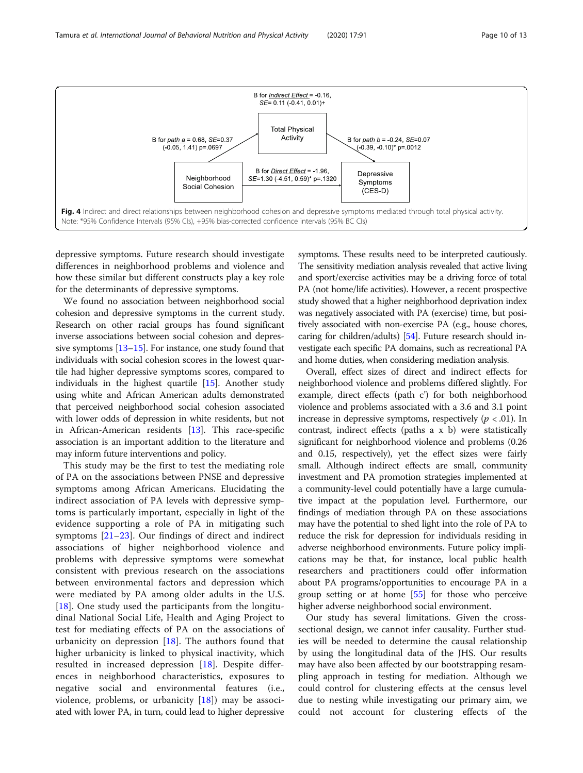<span id="page-9-0"></span>

depressive symptoms. Future research should investigate differences in neighborhood problems and violence and how these similar but different constructs play a key role for the determinants of depressive symptoms.

We found no association between neighborhood social cohesion and depressive symptoms in the current study. Research on other racial groups has found significant inverse associations between social cohesion and depressive symptoms [\[13](#page-11-0)–[15](#page-11-0)]. For instance, one study found that individuals with social cohesion scores in the lowest quartile had higher depressive symptoms scores, compared to individuals in the highest quartile [[15\]](#page-11-0). Another study using white and African American adults demonstrated that perceived neighborhood social cohesion associated with lower odds of depression in white residents, but not in African-American residents [\[13\]](#page-11-0). This race-specific association is an important addition to the literature and may inform future interventions and policy.

This study may be the first to test the mediating role of PA on the associations between PNSE and depressive symptoms among African Americans. Elucidating the indirect association of PA levels with depressive symptoms is particularly important, especially in light of the evidence supporting a role of PA in mitigating such symptoms [\[21](#page-11-0)–[23](#page-11-0)]. Our findings of direct and indirect associations of higher neighborhood violence and problems with depressive symptoms were somewhat consistent with previous research on the associations between environmental factors and depression which were mediated by PA among older adults in the U.S. [[18\]](#page-11-0). One study used the participants from the longitudinal National Social Life, Health and Aging Project to test for mediating effects of PA on the associations of urbanicity on depression  $[18]$  $[18]$ . The authors found that higher urbanicity is linked to physical inactivity, which resulted in increased depression [[18\]](#page-11-0). Despite differences in neighborhood characteristics, exposures to negative social and environmental features (i.e., violence, problems, or urbanicity [[18\]](#page-11-0)) may be associated with lower PA, in turn, could lead to higher depressive symptoms. These results need to be interpreted cautiously. The sensitivity mediation analysis revealed that active living and sport/exercise activities may be a driving force of total PA (not home/life activities). However, a recent prospective study showed that a higher neighborhood deprivation index was negatively associated with PA (exercise) time, but positively associated with non-exercise PA (e.g., house chores, caring for children/adults) [\[54](#page-12-0)]. Future research should investigate each specific PA domains, such as recreational PA and home duties, when considering mediation analysis.

Overall, effect sizes of direct and indirect effects for neighborhood violence and problems differed slightly. For example, direct effects (path c') for both neighborhood violence and problems associated with a 3.6 and 3.1 point increase in depressive symptoms, respectively ( $p < .01$ ). In contrast, indirect effects (paths a x b) were statistically significant for neighborhood violence and problems (0.26 and 0.15, respectively), yet the effect sizes were fairly small. Although indirect effects are small, community investment and PA promotion strategies implemented at a community-level could potentially have a large cumulative impact at the population level. Furthermore, our findings of mediation through PA on these associations may have the potential to shed light into the role of PA to reduce the risk for depression for individuals residing in adverse neighborhood environments. Future policy implications may be that, for instance, local public health researchers and practitioners could offer information about PA programs/opportunities to encourage PA in a group setting or at home [\[55](#page-12-0)] for those who perceive higher adverse neighborhood social environment.

Our study has several limitations. Given the crosssectional design, we cannot infer causality. Further studies will be needed to determine the causal relationship by using the longitudinal data of the JHS. Our results may have also been affected by our bootstrapping resampling approach in testing for mediation. Although we could control for clustering effects at the census level due to nesting while investigating our primary aim, we could not account for clustering effects of the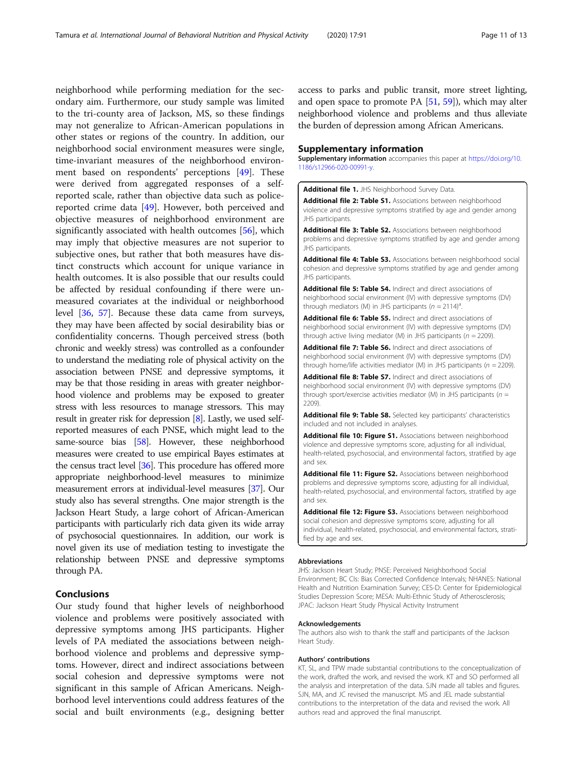<span id="page-10-0"></span>neighborhood while performing mediation for the secondary aim. Furthermore, our study sample was limited to the tri-county area of Jackson, MS, so these findings may not generalize to African-American populations in other states or regions of the country. In addition, our neighborhood social environment measures were single, time-invariant measures of the neighborhood environment based on respondents' perceptions [[49](#page-12-0)]. These were derived from aggregated responses of a selfreported scale, rather than objective data such as policereported crime data [[49](#page-12-0)]. However, both perceived and objective measures of neighborhood environment are significantly associated with health outcomes [[56\]](#page-12-0), which may imply that objective measures are not superior to subjective ones, but rather that both measures have distinct constructs which account for unique variance in health outcomes. It is also possible that our results could be affected by residual confounding if there were unmeasured covariates at the individual or neighborhood level [\[36](#page-12-0), [57](#page-12-0)]. Because these data came from surveys, they may have been affected by social desirability bias or confidentiality concerns. Though perceived stress (both chronic and weekly stress) was controlled as a confounder to understand the mediating role of physical activity on the association between PNSE and depressive symptoms, it may be that those residing in areas with greater neighborhood violence and problems may be exposed to greater stress with less resources to manage stressors. This may result in greater risk for depression [[8\]](#page-11-0). Lastly, we used selfreported measures of each PNSE, which might lead to the same-source bias [[58](#page-12-0)]. However, these neighborhood measures were created to use empirical Bayes estimates at the census tract level [\[36\]](#page-12-0). This procedure has offered more appropriate neighborhood-level measures to minimize measurement errors at individual-level measures [\[37\]](#page-12-0). Our study also has several strengths. One major strength is the Jackson Heart Study, a large cohort of African-American participants with particularly rich data given its wide array of psychosocial questionnaires. In addition, our work is novel given its use of mediation testing to investigate the relationship between PNSE and depressive symptoms through PA.

#### Conclusions

Our study found that higher levels of neighborhood violence and problems were positively associated with depressive symptoms among JHS participants. Higher levels of PA mediated the associations between neighborhood violence and problems and depressive symptoms. However, direct and indirect associations between social cohesion and depressive symptoms were not significant in this sample of African Americans. Neighborhood level interventions could address features of the social and built environments (e.g., designing better

access to parks and public transit, more street lighting, and open space to promote PA  $[51, 59]$  $[51, 59]$  $[51, 59]$  $[51, 59]$  $[51, 59]$ ), which may alter neighborhood violence and problems and thus alleviate the burden of depression among African Americans.

#### Supplementary information

Supplementary information accompanies this paper at [https://doi.org/10.](https://doi.org/10.1186/s12966-020-00991-y) [1186/s12966-020-00991-y](https://doi.org/10.1186/s12966-020-00991-y).

Additional file 1. JHS Neighborhood Survey Data.

Additional file 2: Table S1. Associations between neighborhood violence and depressive symptoms stratified by age and gender among JHS participants.

Additional file 3: Table S2. Associations between neighborhood problems and depressive symptoms stratified by age and gender among JHS participants.

Additional file 4: Table S3. Associations between neighborhood social cohesion and depressive symptoms stratified by age and gender among JHS participants.

Additional file 5: Table S4. Indirect and direct associations of neighborhood social environment (IV) with depressive symptoms (DV) through mediators (M) in JHS participants ( $n = 2114$ )<sup>a</sup>.

Additional file 6: Table S5. Indirect and direct associations of neighborhood social environment (IV) with depressive symptoms (DV) through active living mediator (M) in JHS participants ( $n = 2209$ ).

Additional file 7: Table S6. Indirect and direct associations of neighborhood social environment (IV) with depressive symptoms (DV) through home/life activities mediator (M) in JHS participants ( $n = 2209$ ).

Additional file 8: Table S7. Indirect and direct associations of neighborhood social environment (IV) with depressive symptoms (DV) through sport/exercise activities mediator (M) in JHS participants ( $n =$ 2209).

Additional file 9: Table S8. Selected key participants' characteristics included and not included in analyses.

Additional file 10: Figure S1. Associations between neighborhood violence and depressive symptoms score, adjusting for all individual, health-related, psychosocial, and environmental factors, stratified by age and sex.

Additional file 11: Figure S2. Associations between neighborhood problems and depressive symptoms score, adjusting for all individual, health-related, psychosocial, and environmental factors, stratified by age and sex.

Additional file 12: Figure S3. Associations between neighborhood social cohesion and depressive symptoms score, adjusting for all individual, health-related, psychosocial, and environmental factors, stratified by age and sex.

#### Abbreviations

JHS: Jackson Heart Study; PNSE: Perceived Neighborhood Social Environment; BC CIs: Bias Corrected Confidence Intervals; NHANES: National Health and Nutrition Examination Survey; CES-D: Center for Epidemiological Studies Depression Score; MESA: Multi-Ethnic Study of Atherosclerosis; JPAC: Jackson Heart Study Physical Activity Instrument

#### Acknowledgements

The authors also wish to thank the staff and participants of the Jackson Heart Study.

#### Authors' contributions

KT, SL, and TPW made substantial contributions to the conceptualization of the work, drafted the work, and revised the work. KT and SO performed all the analysis and interpretation of the data. SJN made all tables and figures. SJN, MA, and JC revised the manuscript. MS and JEL made substantial contributions to the interpretation of the data and revised the work. All authors read and approved the final manuscript.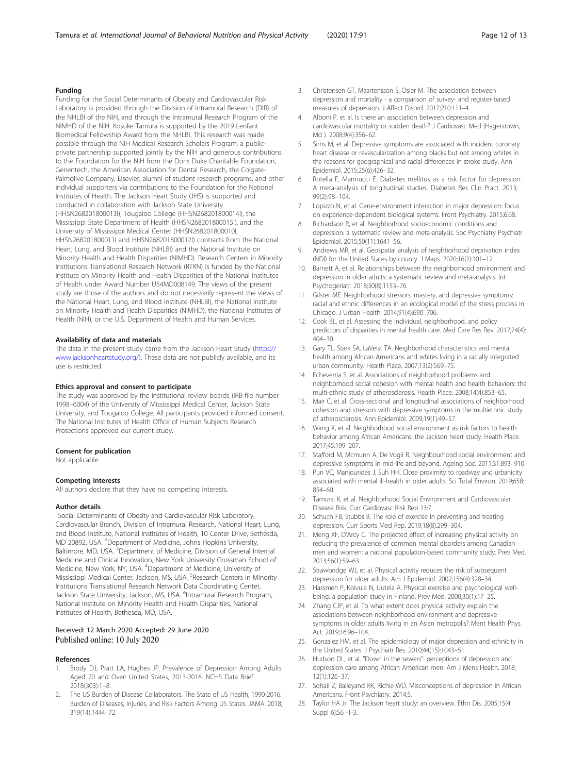#### <span id="page-11-0"></span>Funding

Funding for the Social Determinants of Obesity and Cardiovascular Risk Laboratory is provided through the Division of Intramural Research (DIR) of the NHLBI of the NIH, and through the Intramural Research Program of the NIMHD of the NIH. Kosuke Tamura is supported by the 2019 Lenfant Biomedical Fellowship Award from the NHLBI. This research was made possible through the NIH Medical Research Scholars Program, a publicprivate partnership supported jointly by the NIH and generous contributions to the Foundation for the NIH from the Doris Duke Charitable Foundation, Genentech, the American Association for Dental Research, the Colgate-Palmolive Company, Elsevier, alumni of student research programs, and other individual supporters via contributions to the Foundation for the National Institutes of Health. The Jackson Heart Study (JHS) is supported and conducted in collaboration with Jackson State University (HHSN268201800013I), Tougaloo College (HHSN268201800014I), the Mississippi State Department of Health (HHSN268201800015I), and the University of Mississippi Medical Center (HHSN268201800010I, HHSN268201800011I and HHSN268201800012I) contracts from the National Heart, Lung, and Blood Institute (NHLBI) and the National Institute on Minority Health and Health Disparities (NIMHD). Research Centers in Minority Institutions Translational Research Network (RTRN) is funded by the National Institute on Minority Health and Health Disparities of the National Institutes of Health under Award Number U54MD008149. The views of the present study are those of the authors and do not necessarily represent the views of the National Heart, Lung, and Blood Institute (NHLBI), the National Institute on Minority Health and Health Disparities (NIMHD), the National Institutes of Health (NIH), or the U.S. Department of Health and Human Services.

#### Availability of data and materials

The data in the present study came from the Jackson Heart Study [\(https://](https://www.jacksonheartstudy.org/) [www.jacksonheartstudy.org/\)](https://www.jacksonheartstudy.org/). These data are not publicly available, and its use is restricted.

#### Ethics approval and consent to participate

The study was approved by the institutional review boards (IRB file number 1998–6004) of the University of Mississippi Medical Center, Jackson State University, and Tougaloo College. All participants provided informed consent. The National Institutes of Health Office of Human Subjects Research Protections approved our current study.

#### Consent for publication

Not applicable.

#### Competing interests

All authors declare that they have no competing interests.

#### Author details

<sup>1</sup>Social Determinants of Obesity and Cardiovascular Risk Laboratory, Cardiovascular Branch, Division of Intramural Research, National Heart, Lung, and Blood Institute, National Institutes of Health, 10 Center Drive, Bethesda, MD 20892, USA. <sup>2</sup>Department of Medicine, Johns Hopkins University, Baltimore, MD, USA.<sup>3</sup> Department of Medicine, Division of General Internal Medicine and Clinical Innovation, New York University Grossman School of Medicine, New York, NY, USA. <sup>4</sup>Department of Medicine, University of Mississippi Medical Center, Jackson, MS, USA. <sup>5</sup>Research Centers in Minority Institutions Translational Research Network Data Coordinating Center, Jackson State University, Jackson, MS, USA. <sup>6</sup>Intramural Research Program, National Institute on Minority Health and Health Disparities, National Institutes of Health, Bethesda, MD, USA.

#### Received: 12 March 2020 Accepted: 29 June 2020 Published online: 10 July 2020

#### References

- Brody DJ, Pratt LA, Hughes JP. Prevalence of Depression Among Adults Aged 20 and Over: United States, 2013-2016. NCHS Data Brief. 2018(303):1–8.
- 2. The US Burden of Disease Collaborators. The State of US Health, 1990-2016: Burden of Diseases, Injuries, and Risk Factors Among US States. JAMA. 2018; 319(14):1444–72.
- 3. Christensen GT, Maartensson S, Osler M. The association between depression and mortality - a comparison of survey- and register-based measures of depression. J Affect Disord. 2017;210:111–4.
- Alboni P, et al. Is there an association between depression and cardiovascular mortality or sudden death? J Cardiovasc Med (Hagerstown, Md ). 2008;9(4):356–62.
- 5. Sims M, et al. Depressive symptoms are associated with incident coronary heart disease or revascularization among blacks but not among whites in the reasons for geographical and racial differences in stroke study. Ann Epidemiol. 2015;25(6):426–32.
- Rotella F, Mannucci E. Diabetes mellitus as a risk factor for depression. A meta-analysis of longitudinal studies. Diabetes Res Clin Pract. 2013; 99(2):98–104.
- 7. Lopizzo N, et al. Gene-environment interaction in major depression: focus on experience-dependent biological systems. Front Psychiatry. 2015;6:68.
- Richardson R, et al. Neighborhood socioeconomic conditions and depression: a systematic review and meta-analysis. Soc Psychiatry Psychiatr Epidemiol. 2015;50(11):1641–56.
- 9. Andrews MR, et al. Geospatial analysis of neighborhood deprivation index (NDI) for the United States by county. J Maps. 2020;16(1):101–12.
- 10. Barnett A, et al. Relationships between the neighborhood environment and depression in older adults: a systematic review and meta-analysis. Int Psychogeriatr. 2018;30(8):1153–76.
- 11. Gilster ME. Neighborhood stressors, mastery, and depressive symptoms: racial and ethnic differences in an ecological model of the stress process in Chicago. J Urban Health. 2014;91(4):690–706.
- 12. Cook BL, et al. Assessing the individual, neighborhood, and policy predictors of disparities in mental health care. Med Care Res Rev. 2017;74(4): 404–30.
- 13. Gary TL, Stark SA, LaVeist TA. Neighborhood characteristics and mental health among African Americans and whites living in a racially integrated urban community. Health Place. 2007;13(2):569–75.
- 14. Echeverria S, et al. Associations of neighborhood problems and neighborhood social cohesion with mental health and health behaviors: the multi-ethnic study of atherosclerosis. Health Place. 2008;14(4):853–65.
- 15. Mair C, et al. Cross-sectional and longitudinal associations of neighborhood cohesion and stressors with depressive symptoms in the multiethnic study of atherosclerosis. Ann Epidemiol. 2009;19(1):49–57.
- 16. Wang X, et al. Neighborhood social environment as risk factors to health behavior among African Americans: the Jackson heart study. Health Place. 2017;45:199–207.
- 17. Stafford M, Mcmunn A, De Vogli R. Neighbourhood social environment and depressive symptoms in mid-life and beyond. Ageing Soc. 2011;31:893–910.
- 18. Pun VC, Manjourides J, Suh HH. Close proximity to roadway and urbanicity associated with mental ill-health in older adults. Sci Total Environ. 2019;658: 854–60.
- 19. Tamura, K, et al. Neighborhood Social Environment and Cardiovascular Disease Risk. Curr Cardiovasc Risk Rep 13:7.
- 20. Schuch FB, Stubbs B. The role of exercise in preventing and treating depression. Curr Sports Med Rep. 2019;18(8):299–304.
- 21. Meng XF, D'Arcy C. The projected effect of increasing physical activity on reducing the prevalence of common mental disorders among Canadian men and women: a national population-based community study. Prev Med. 2013;56(1):59–63.
- 22. Strawbridge WJ, et al. Physical activity reduces the risk of subsequent depression for older adults. Am J Epidemiol. 2002;156(4):328–34.
- 23. Hassmen P, Koivula N, Uutela A. Physical exercise and psychological wellbeing: a population study in Finland. Prev Med. 2000;30(1):17–25.
- 24. Zhang CJP, et al. To what extent does physical activity explain the associations between neighborhood environment and depressive symptoms in older adults living in an Asian metropolis? Ment Health Phys Act. 2019;16:96–104.
- 25. Gonzalez HM, et al. The epidemiology of major depression and ethnicity in the United States. J Psychiatr Res. 2010;44(15):1043–51.
- 26. Hudson DL, et al. "Down in the sewers": perceptions of depression and depression care among African American men. Am J Mens Health. 2018; 12(1):126–37.
- 27. Sohail Z, Baileyand RK, Richie WD. Misconceptions of depression in African Americans. Front Psychiatry. 2014;5.
- 28. Taylor HA Jr. The Jackson heart study: an overview. Ethn Dis. 2005;15(4 Suppl 6):S6 -1-3.